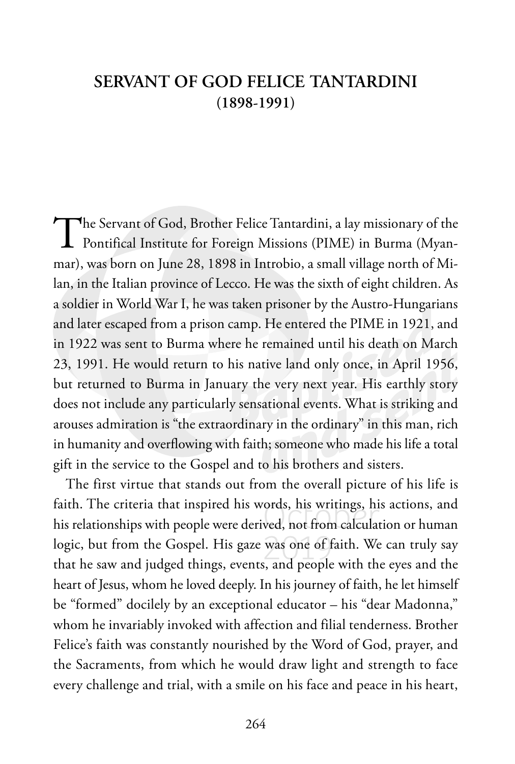## **SERVANT OF GOD FELICE TANTARDINI (1898-1991)**

The Servant of God, Brother Felice Tantardini, a lay missionary of the<br>Pontifical Institute for Foreign Missions (PIME) in Burma (Myanmar), was born on June 28, 1898 in Introbio, a small village north of Milan, in the Italian province of Lecco. He was the sixth of eight children. As a soldier in World War I, he was taken prisoner by the Austro-Hungarians and later escaped from a prison camp. He entered the PIME in 1921, and in 1922 was sent to Burma where he remained until his death on March 23, 1991. He would return to his native land only once, in April 1956, but returned to Burma in January the very next year. His earthly story does not include any particularly sensational events. What is striking and arouses admiration is "the extraordinary in the ordinary" in this man, rich in humanity and overflowing with faith; someone who made his life a total gift in the service to the Gospel and to his brothers and sisters.

The first virtue that stands out from the overall picture of his life is faith. The criteria that inspired his words, his writings, his actions, and his relationships with people were derived, not from calculation or human logic, but from the Gospel. His gaze was one of faith. We can truly say that he saw and judged things, events, and people with the eyes and the heart of Jesus, whom he loved deeply. In his journey of faith, he let himself be "formed" docilely by an exceptional educator – his "dear Madonna," whom he invariably invoked with affection and filial tenderness. Brother Felice's faith was constantly nourished by the Word of God, prayer, and the Sacraments, from which he would draw light and strength to face every challenge and trial, with a smile on his face and peace in his heart,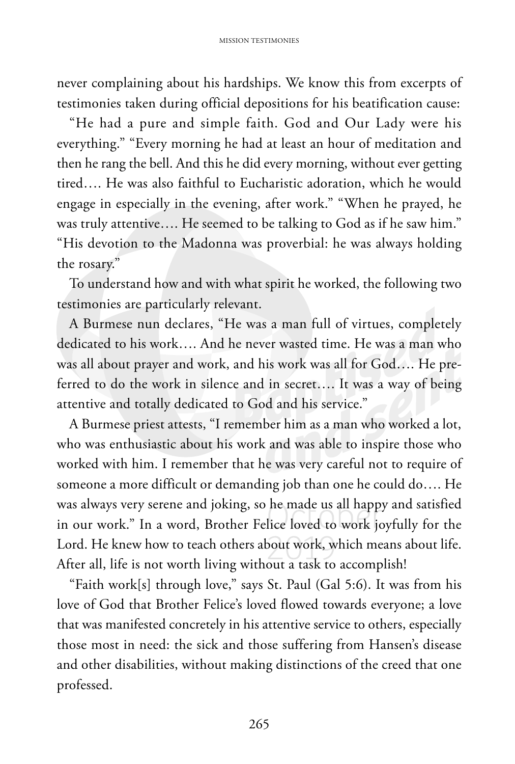never complaining about his hardships. We know this from excerpts of testimonies taken during official depositions for his beatification cause:

"He had a pure and simple faith. God and Our Lady were his everything." "Every morning he had at least an hour of meditation and then he rang the bell. And this he did every morning, without ever getting tired…. He was also faithful to Eucharistic adoration, which he would engage in especially in the evening, after work." "When he prayed, he was truly attentive…. He seemed to be talking to God as if he saw him." "His devotion to the Madonna was proverbial: he was always holding the rosary."

To understand how and with what spirit he worked, the following two testimonies are particularly relevant.

A Burmese nun declares, "He was a man full of virtues, completely dedicated to his work…. And he never wasted time. He was a man who was all about prayer and work, and his work was all for God…. He preferred to do the work in silence and in secret…. It was a way of being attentive and totally dedicated to God and his service."

A Burmese priest attests, "I remember him as a man who worked a lot, who was enthusiastic about his work and was able to inspire those who worked with him. I remember that he was very careful not to require of someone a more difficult or demanding job than one he could do…. He was always very serene and joking, so he made us all happy and satisfied in our work." In a word, Brother Felice loved to work joyfully for the Lord. He knew how to teach others about work, which means about life. After all, life is not worth living without a task to accomplish!

"Faith work[s] through love," says St. Paul (Gal 5:6). It was from his love of God that Brother Felice's loved flowed towards everyone; a love that was manifested concretely in his attentive service to others, especially those most in need: the sick and those suffering from Hansen's disease and other disabilities, without making distinctions of the creed that one professed.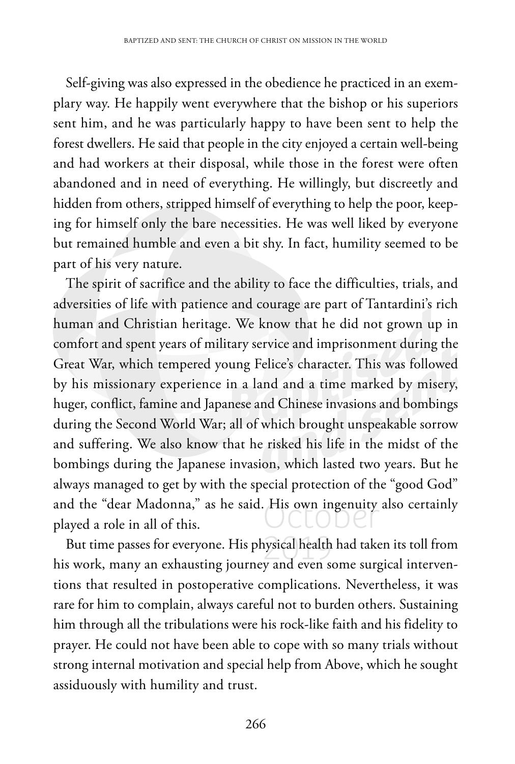Self-giving was also expressed in the obedience he practiced in an exemplary way. He happily went everywhere that the bishop or his superiors sent him, and he was particularly happy to have been sent to help the forest dwellers. He said that people in the city enjoyed a certain well-being and had workers at their disposal, while those in the forest were often abandoned and in need of everything. He willingly, but discreetly and hidden from others, stripped himself of everything to help the poor, keeping for himself only the bare necessities. He was well liked by everyone but remained humble and even a bit shy. In fact, humility seemed to be part of his very nature.

The spirit of sacrifice and the ability to face the difficulties, trials, and adversities of life with patience and courage are part of Tantardini's rich human and Christian heritage. We know that he did not grown up in comfort and spent years of military service and imprisonment during the Great War, which tempered young Felice's character. This was followed by his missionary experience in a land and a time marked by misery, huger, conflict, famine and Japanese and Chinese invasions and bombings during the Second World War; all of which brought unspeakable sorrow and suffering. We also know that he risked his life in the midst of the bombings during the Japanese invasion, which lasted two years. But he always managed to get by with the special protection of the "good God" and the "dear Madonna," as he said. His own ingenuity also certainly played a role in all of this.

But time passes for everyone. His physical health had taken its toll from his work, many an exhausting journey and even some surgical interventions that resulted in postoperative complications. Nevertheless, it was rare for him to complain, always careful not to burden others. Sustaining him through all the tribulations were his rock-like faith and his fidelity to prayer. He could not have been able to cope with so many trials without strong internal motivation and special help from Above, which he sought assiduously with humility and trust.